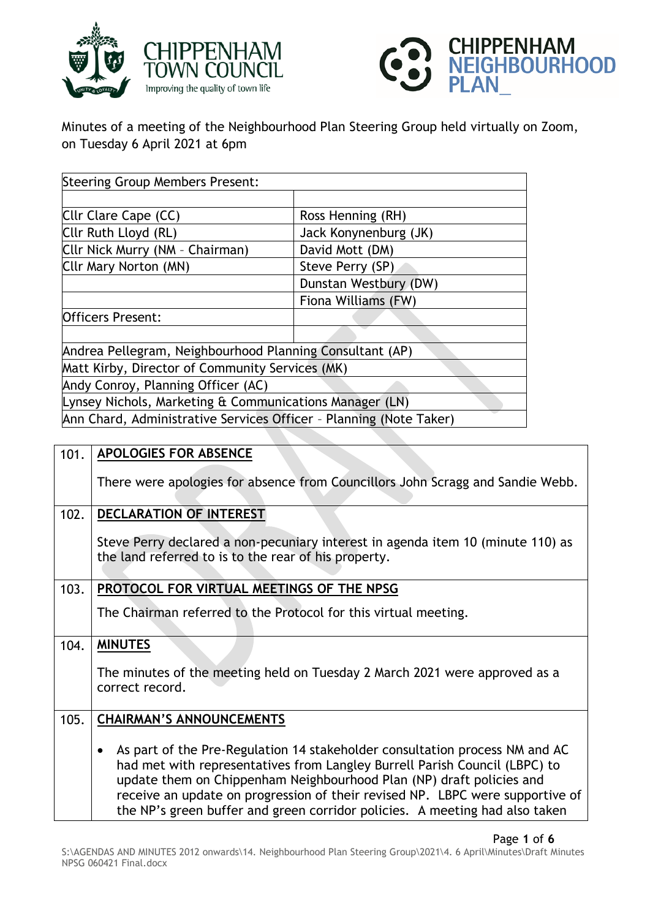



Minutes of a meeting of the Neighbourhood Plan Steering Group held virtually on Zoom, on Tuesday 6 April 2021 at 6pm

| <b>Steering Group Members Present:</b>                             |                       |  |
|--------------------------------------------------------------------|-----------------------|--|
|                                                                    |                       |  |
| Cllr Clare Cape (CC)                                               | Ross Henning (RH)     |  |
| Cllr Ruth Lloyd (RL)                                               | Jack Konynenburg (JK) |  |
| Cllr Nick Murry (NM - Chairman)                                    | David Mott (DM)       |  |
| Cllr Mary Norton (MN)                                              | Steve Perry (SP)      |  |
|                                                                    | Dunstan Westbury (DW) |  |
|                                                                    | Fiona Williams (FW)   |  |
| <b>Officers Present:</b>                                           |                       |  |
|                                                                    |                       |  |
| Andrea Pellegram, Neighbourhood Planning Consultant (AP)           |                       |  |
| Matt Kirby, Director of Community Services (MK)                    |                       |  |
| Andy Conroy, Planning Officer (AC)                                 |                       |  |
| Lynsey Nichols, Marketing & Communications Manager (LN)            |                       |  |
| Ann Chard, Administrative Services Officer - Planning (Note Taker) |                       |  |

| 101. | <b>APOLOGIES FOR ABSENCE</b>                                                                                                                                                                                                                                                                                                                                                                                   |
|------|----------------------------------------------------------------------------------------------------------------------------------------------------------------------------------------------------------------------------------------------------------------------------------------------------------------------------------------------------------------------------------------------------------------|
|      | There were apologies for absence from Councillors John Scragg and Sandie Webb.                                                                                                                                                                                                                                                                                                                                 |
| 102. | <b>DECLARATION OF INTEREST</b>                                                                                                                                                                                                                                                                                                                                                                                 |
|      | Steve Perry declared a non-pecuniary interest in agenda item 10 (minute 110) as<br>the land referred to is to the rear of his property.                                                                                                                                                                                                                                                                        |
| 103. | PROTOCOL FOR VIRTUAL MEETINGS OF THE NPSG                                                                                                                                                                                                                                                                                                                                                                      |
|      | The Chairman referred to the Protocol for this virtual meeting.                                                                                                                                                                                                                                                                                                                                                |
| 104. | <b>MINUTES</b>                                                                                                                                                                                                                                                                                                                                                                                                 |
|      | The minutes of the meeting held on Tuesday 2 March 2021 were approved as a<br>correct record.                                                                                                                                                                                                                                                                                                                  |
| 105. | <b>CHAIRMAN'S ANNOUNCEMENTS</b>                                                                                                                                                                                                                                                                                                                                                                                |
|      | As part of the Pre-Regulation 14 stakeholder consultation process NM and AC<br>$\bullet$<br>had met with representatives from Langley Burrell Parish Council (LBPC) to<br>update them on Chippenham Neighbourhood Plan (NP) draft policies and<br>receive an update on progression of their revised NP. LBPC were supportive of<br>the NP's green buffer and green corridor policies. A meeting had also taken |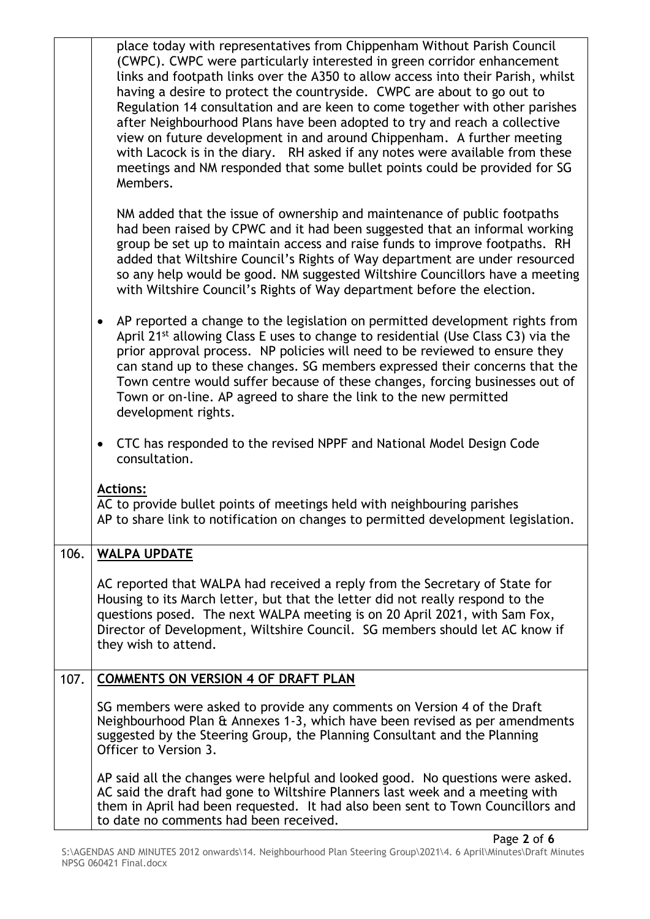|      | place today with representatives from Chippenham Without Parish Council<br>(CWPC). CWPC were particularly interested in green corridor enhancement<br>links and footpath links over the A350 to allow access into their Parish, whilst<br>having a desire to protect the countryside. CWPC are about to go out to<br>Regulation 14 consultation and are keen to come together with other parishes<br>after Neighbourhood Plans have been adopted to try and reach a collective<br>view on future development in and around Chippenham. A further meeting<br>with Lacock is in the diary. RH asked if any notes were available from these<br>meetings and NM responded that some bullet points could be provided for SG<br>Members. |
|------|------------------------------------------------------------------------------------------------------------------------------------------------------------------------------------------------------------------------------------------------------------------------------------------------------------------------------------------------------------------------------------------------------------------------------------------------------------------------------------------------------------------------------------------------------------------------------------------------------------------------------------------------------------------------------------------------------------------------------------|
|      | NM added that the issue of ownership and maintenance of public footpaths<br>had been raised by CPWC and it had been suggested that an informal working<br>group be set up to maintain access and raise funds to improve footpaths. RH<br>added that Wiltshire Council's Rights of Way department are under resourced<br>so any help would be good. NM suggested Wiltshire Councillors have a meeting<br>with Wiltshire Council's Rights of Way department before the election.                                                                                                                                                                                                                                                     |
|      | AP reported a change to the legislation on permitted development rights from<br>$\bullet$<br>April 21 <sup>st</sup> allowing Class E uses to change to residential (Use Class C3) via the<br>prior approval process. NP policies will need to be reviewed to ensure they<br>can stand up to these changes. SG members expressed their concerns that the<br>Town centre would suffer because of these changes, forcing businesses out of<br>Town or on-line. AP agreed to share the link to the new permitted<br>development rights.                                                                                                                                                                                                |
|      | CTC has responded to the revised NPPF and National Model Design Code<br>$\bullet$<br>consultation.                                                                                                                                                                                                                                                                                                                                                                                                                                                                                                                                                                                                                                 |
|      | <b>Actions:</b>                                                                                                                                                                                                                                                                                                                                                                                                                                                                                                                                                                                                                                                                                                                    |
|      | AC to provide bullet points of meetings held with neighbouring parishes<br>AP to share link to notification on changes to permitted development legislation.                                                                                                                                                                                                                                                                                                                                                                                                                                                                                                                                                                       |
| 106. | <b>WALPA UPDATE</b>                                                                                                                                                                                                                                                                                                                                                                                                                                                                                                                                                                                                                                                                                                                |
|      | AC reported that WALPA had received a reply from the Secretary of State for<br>Housing to its March letter, but that the letter did not really respond to the<br>questions posed. The next WALPA meeting is on 20 April 2021, with Sam Fox,<br>Director of Development, Wiltshire Council. SG members should let AC know if<br>they wish to attend.                                                                                                                                                                                                                                                                                                                                                                                |
| 107. | <b>COMMENTS ON VERSION 4 OF DRAFT PLAN</b>                                                                                                                                                                                                                                                                                                                                                                                                                                                                                                                                                                                                                                                                                         |
|      | SG members were asked to provide any comments on Version 4 of the Draft<br>Neighbourhood Plan & Annexes 1-3, which have been revised as per amendments<br>suggested by the Steering Group, the Planning Consultant and the Planning<br>Officer to Version 3.                                                                                                                                                                                                                                                                                                                                                                                                                                                                       |
|      | AP said all the changes were helpful and looked good. No questions were asked.<br>AC said the draft had gone to Wiltshire Planners last week and a meeting with<br>them in April had been requested. It had also been sent to Town Councillors and<br>to date no comments had been received.                                                                                                                                                                                                                                                                                                                                                                                                                                       |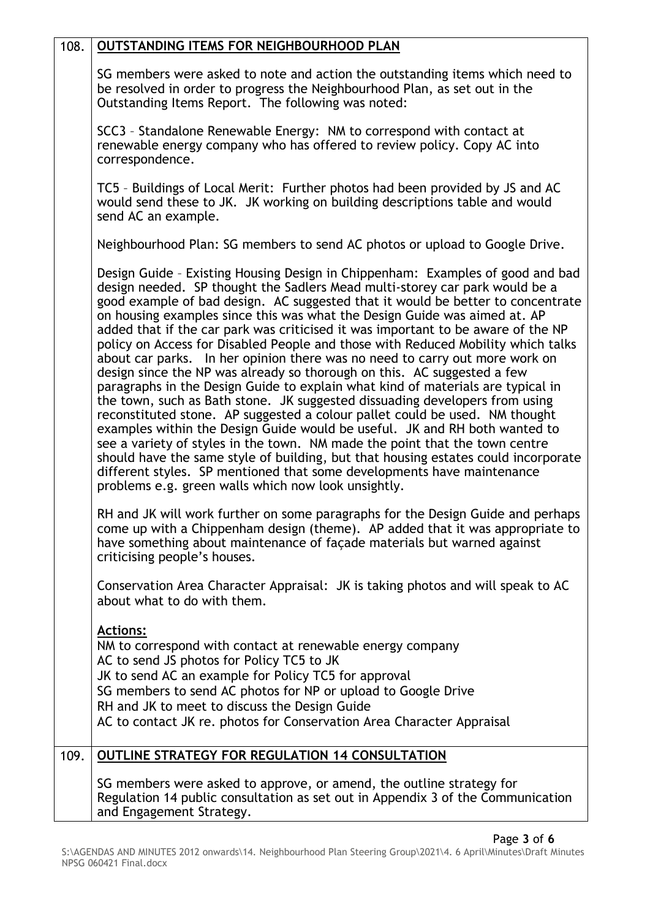| 108. | OUTSTANDING ITEMS FOR NEIGHBOURHOOD PLAN                                                                                                                                                                                                                                                                                                                                                                                                                                                                                                                                                                                                                                                                                                                                                                                                                                                                                                                                                                                                                                                                                                                                                                                                                                                             |
|------|------------------------------------------------------------------------------------------------------------------------------------------------------------------------------------------------------------------------------------------------------------------------------------------------------------------------------------------------------------------------------------------------------------------------------------------------------------------------------------------------------------------------------------------------------------------------------------------------------------------------------------------------------------------------------------------------------------------------------------------------------------------------------------------------------------------------------------------------------------------------------------------------------------------------------------------------------------------------------------------------------------------------------------------------------------------------------------------------------------------------------------------------------------------------------------------------------------------------------------------------------------------------------------------------------|
|      | SG members were asked to note and action the outstanding items which need to<br>be resolved in order to progress the Neighbourhood Plan, as set out in the<br>Outstanding Items Report. The following was noted:                                                                                                                                                                                                                                                                                                                                                                                                                                                                                                                                                                                                                                                                                                                                                                                                                                                                                                                                                                                                                                                                                     |
|      | SCC3 - Standalone Renewable Energy: NM to correspond with contact at<br>renewable energy company who has offered to review policy. Copy AC into<br>correspondence.                                                                                                                                                                                                                                                                                                                                                                                                                                                                                                                                                                                                                                                                                                                                                                                                                                                                                                                                                                                                                                                                                                                                   |
|      | TC5 - Buildings of Local Merit: Further photos had been provided by JS and AC<br>would send these to JK. JK working on building descriptions table and would<br>send AC an example.                                                                                                                                                                                                                                                                                                                                                                                                                                                                                                                                                                                                                                                                                                                                                                                                                                                                                                                                                                                                                                                                                                                  |
|      | Neighbourhood Plan: SG members to send AC photos or upload to Google Drive.                                                                                                                                                                                                                                                                                                                                                                                                                                                                                                                                                                                                                                                                                                                                                                                                                                                                                                                                                                                                                                                                                                                                                                                                                          |
|      | Design Guide - Existing Housing Design in Chippenham: Examples of good and bad<br>design needed. SP thought the Sadlers Mead multi-storey car park would be a<br>good example of bad design. AC suggested that it would be better to concentrate<br>on housing examples since this was what the Design Guide was aimed at. AP<br>added that if the car park was criticised it was important to be aware of the NP<br>policy on Access for Disabled People and those with Reduced Mobility which talks<br>about car parks. In her opinion there was no need to carry out more work on<br>design since the NP was already so thorough on this. AC suggested a few<br>paragraphs in the Design Guide to explain what kind of materials are typical in<br>the town, such as Bath stone. JK suggested dissuading developers from using<br>reconstituted stone. AP suggested a colour pallet could be used. NM thought<br>examples within the Design Guide would be useful. JK and RH both wanted to<br>see a variety of styles in the town. NM made the point that the town centre<br>should have the same style of building, but that housing estates could incorporate<br>different styles. SP mentioned that some developments have maintenance<br>problems e.g. green walls which now look unsightly. |
|      | RH and JK will work further on some paragraphs for the Design Guide and perhaps<br>come up with a Chippenham design (theme). AP added that it was appropriate to<br>have something about maintenance of façade materials but warned against<br>criticising people's houses.                                                                                                                                                                                                                                                                                                                                                                                                                                                                                                                                                                                                                                                                                                                                                                                                                                                                                                                                                                                                                          |
|      | Conservation Area Character Appraisal: JK is taking photos and will speak to AC<br>about what to do with them.                                                                                                                                                                                                                                                                                                                                                                                                                                                                                                                                                                                                                                                                                                                                                                                                                                                                                                                                                                                                                                                                                                                                                                                       |
|      | <u>Actions:</u><br>NM to correspond with contact at renewable energy company<br>AC to send JS photos for Policy TC5 to JK<br>JK to send AC an example for Policy TC5 for approval<br>SG members to send AC photos for NP or upload to Google Drive<br>RH and JK to meet to discuss the Design Guide<br>AC to contact JK re. photos for Conservation Area Character Appraisal                                                                                                                                                                                                                                                                                                                                                                                                                                                                                                                                                                                                                                                                                                                                                                                                                                                                                                                         |
| 109. | <b>OUTLINE STRATEGY FOR REGULATION 14 CONSULTATION</b>                                                                                                                                                                                                                                                                                                                                                                                                                                                                                                                                                                                                                                                                                                                                                                                                                                                                                                                                                                                                                                                                                                                                                                                                                                               |
|      | SG members were asked to approve, or amend, the outline strategy for<br>Regulation 14 public consultation as set out in Appendix 3 of the Communication<br>and Engagement Strategy.                                                                                                                                                                                                                                                                                                                                                                                                                                                                                                                                                                                                                                                                                                                                                                                                                                                                                                                                                                                                                                                                                                                  |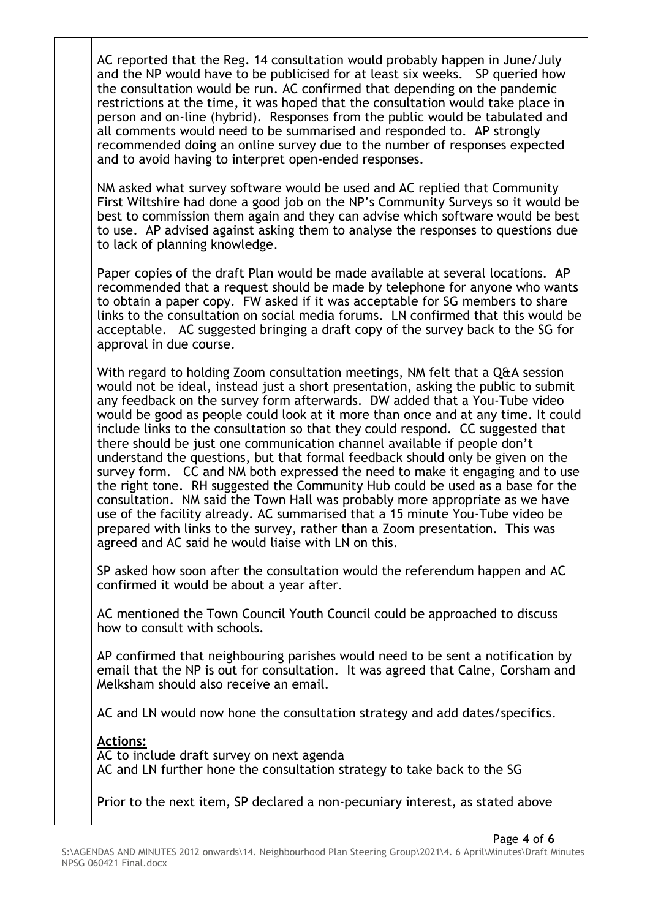| AC reported that the Reg. 14 consultation would probably happen in June/July<br>and the NP would have to be publicised for at least six weeks.  SP queried how<br>the consultation would be run. AC confirmed that depending on the pandemic<br>restrictions at the time, it was hoped that the consultation would take place in<br>person and on-line (hybrid). Responses from the public would be tabulated and<br>all comments would need to be summarised and responded to. AP strongly<br>recommended doing an online survey due to the number of responses expected                                                                                                                                                                                                                                                                                                                                                                                                                                                                                          |
|--------------------------------------------------------------------------------------------------------------------------------------------------------------------------------------------------------------------------------------------------------------------------------------------------------------------------------------------------------------------------------------------------------------------------------------------------------------------------------------------------------------------------------------------------------------------------------------------------------------------------------------------------------------------------------------------------------------------------------------------------------------------------------------------------------------------------------------------------------------------------------------------------------------------------------------------------------------------------------------------------------------------------------------------------------------------|
| and to avoid having to interpret open-ended responses.<br>NM asked what survey software would be used and AC replied that Community<br>First Wiltshire had done a good job on the NP's Community Surveys so it would be<br>best to commission them again and they can advise which software would be best<br>to use. AP advised against asking them to analyse the responses to questions due<br>to lack of planning knowledge.                                                                                                                                                                                                                                                                                                                                                                                                                                                                                                                                                                                                                                    |
| Paper copies of the draft Plan would be made available at several locations. AP<br>recommended that a request should be made by telephone for anyone who wants<br>to obtain a paper copy. FW asked if it was acceptable for SG members to share<br>links to the consultation on social media forums. LN confirmed that this would be<br>acceptable. AC suggested bringing a draft copy of the survey back to the SG for<br>approval in due course.                                                                                                                                                                                                                                                                                                                                                                                                                                                                                                                                                                                                                 |
| With regard to holding Zoom consultation meetings, NM felt that a Q&A session<br>would not be ideal, instead just a short presentation, asking the public to submit<br>any feedback on the survey form afterwards. DW added that a You-Tube video<br>would be good as people could look at it more than once and at any time. It could<br>include links to the consultation so that they could respond. CC suggested that<br>there should be just one communication channel available if people don't<br>understand the questions, but that formal feedback should only be given on the<br>survey form. CC and NM both expressed the need to make it engaging and to use<br>the right tone. RH suggested the Community Hub could be used as a base for the<br>consultation. NM said the Town Hall was probably more appropriate as we have<br>use of the facility already. AC summarised that a 15 minute You-Tube video be<br>prepared with links to the survey, rather than a Zoom presentation. This was<br>agreed and AC said he would liaise with LN on this. |
| SP asked how soon after the consultation would the referendum happen and AC<br>confirmed it would be about a year after.                                                                                                                                                                                                                                                                                                                                                                                                                                                                                                                                                                                                                                                                                                                                                                                                                                                                                                                                           |
| AC mentioned the Town Council Youth Council could be approached to discuss<br>how to consult with schools.                                                                                                                                                                                                                                                                                                                                                                                                                                                                                                                                                                                                                                                                                                                                                                                                                                                                                                                                                         |
| AP confirmed that neighbouring parishes would need to be sent a notification by<br>email that the NP is out for consultation. It was agreed that Calne, Corsham and<br>Melksham should also receive an email.                                                                                                                                                                                                                                                                                                                                                                                                                                                                                                                                                                                                                                                                                                                                                                                                                                                      |
| AC and LN would now hone the consultation strategy and add dates/specifics.                                                                                                                                                                                                                                                                                                                                                                                                                                                                                                                                                                                                                                                                                                                                                                                                                                                                                                                                                                                        |
| <b>Actions:</b><br>AC to include draft survey on next agenda<br>AC and LN further hone the consultation strategy to take back to the SG                                                                                                                                                                                                                                                                                                                                                                                                                                                                                                                                                                                                                                                                                                                                                                                                                                                                                                                            |
| Prior to the next item, SP declared a non-pecuniary interest, as stated above                                                                                                                                                                                                                                                                                                                                                                                                                                                                                                                                                                                                                                                                                                                                                                                                                                                                                                                                                                                      |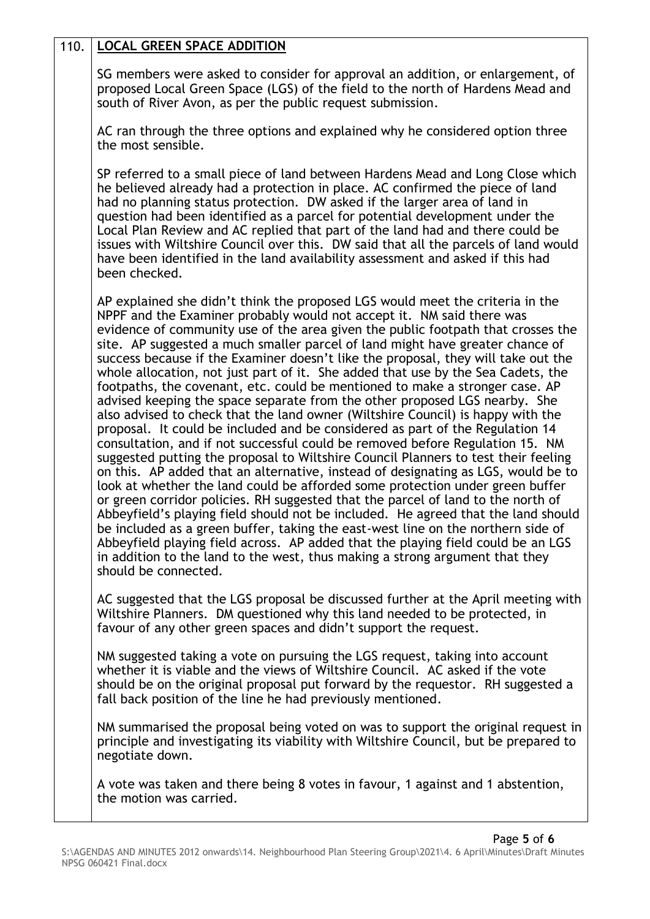## 110. **LOCAL GREEN SPACE ADDITION**

SG members were asked to consider for approval an addition, or enlargement, of proposed Local Green Space (LGS) of the field to the north of Hardens Mead and south of River Avon, as per the public request submission.

AC ran through the three options and explained why he considered option three the most sensible.

SP referred to a small piece of land between Hardens Mead and Long Close which he believed already had a protection in place. AC confirmed the piece of land had no planning status protection. DW asked if the larger area of land in question had been identified as a parcel for potential development under the Local Plan Review and AC replied that part of the land had and there could be issues with Wiltshire Council over this. DW said that all the parcels of land would have been identified in the land availability assessment and asked if this had been checked.

AP explained she didn't think the proposed LGS would meet the criteria in the NPPF and the Examiner probably would not accept it. NM said there was evidence of community use of the area given the public footpath that crosses the site. AP suggested a much smaller parcel of land might have greater chance of success because if the Examiner doesn't like the proposal, they will take out the whole allocation, not just part of it. She added that use by the Sea Cadets, the footpaths, the covenant, etc. could be mentioned to make a stronger case. AP advised keeping the space separate from the other proposed LGS nearby. She also advised to check that the land owner (Wiltshire Council) is happy with the proposal. It could be included and be considered as part of the Regulation 14 consultation, and if not successful could be removed before Regulation 15. NM suggested putting the proposal to Wiltshire Council Planners to test their feeling on this. AP added that an alternative, instead of designating as LGS, would be to look at whether the land could be afforded some protection under green buffer or green corridor policies. RH suggested that the parcel of land to the north of Abbeyfield's playing field should not be included. He agreed that the land should be included as a green buffer, taking the east-west line on the northern side of Abbeyfield playing field across. AP added that the playing field could be an LGS in addition to the land to the west, thus making a strong argument that they should be connected.

AC suggested that the LGS proposal be discussed further at the April meeting with Wiltshire Planners. DM questioned why this land needed to be protected, in favour of any other green spaces and didn't support the request.

NM suggested taking a vote on pursuing the LGS request, taking into account whether it is viable and the views of Wiltshire Council. AC asked if the vote should be on the original proposal put forward by the requestor. RH suggested a fall back position of the line he had previously mentioned.

NM summarised the proposal being voted on was to support the original request in principle and investigating its viability with Wiltshire Council, but be prepared to negotiate down.

A vote was taken and there being 8 votes in favour, 1 against and 1 abstention, the motion was carried.